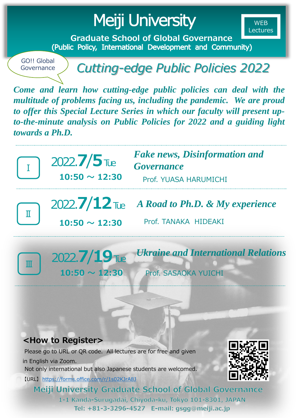